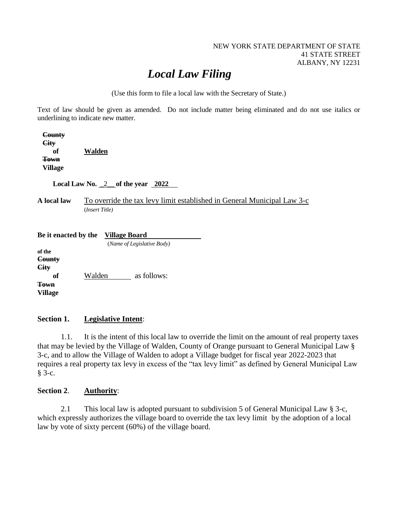#### NEW YORK STATE DEPARTMENT OF STATE 41 STATE STREET ALBANY, NY 12231

# *Local Law Filing*

(Use this form to file a local law with the Secretary of State.)

Text of law should be given as amended. Do not include matter being eliminated and do not use italics or underlining to indicate new matter.

| County<br><b>City</b>                                                      |                                                                                           |
|----------------------------------------------------------------------------|-------------------------------------------------------------------------------------------|
| of                                                                         | Walden                                                                                    |
| <b>Town</b>                                                                |                                                                                           |
| <b>Village</b>                                                             |                                                                                           |
| Local Law No. $2$ of the year 2022                                         |                                                                                           |
| A local law                                                                | To override the tax levy limit established in General Municipal Law 3-c<br>(Insert Title) |
| Be it enacted by the<br><b>Village Board</b><br>(Name of Legislative Body) |                                                                                           |
| of the                                                                     |                                                                                           |
| County                                                                     |                                                                                           |
| City                                                                       |                                                                                           |
| <b>of</b>                                                                  | Walden<br>as follows:                                                                     |
| <del>Town</del>                                                            |                                                                                           |
| Village                                                                    |                                                                                           |

### **Section 1. Legislative Intent**:

1.1. It is the intent of this local law to override the limit on the amount of real property taxes that may be levied by the Village of Walden, County of Orange pursuant to General Municipal Law § 3-c, and to allow the Village of Walden to adopt a Village budget for fiscal year 2022-2023 that requires a real property tax levy in excess of the "tax levy limit" as defined by General Municipal Law § 3-c.

#### **Section 2**. **Authority**:

2.1 This local law is adopted pursuant to subdivision 5 of General Municipal Law § 3-c, which expressly authorizes the village board to override the tax levy limit by the adoption of a local law by vote of sixty percent (60%) of the village board.